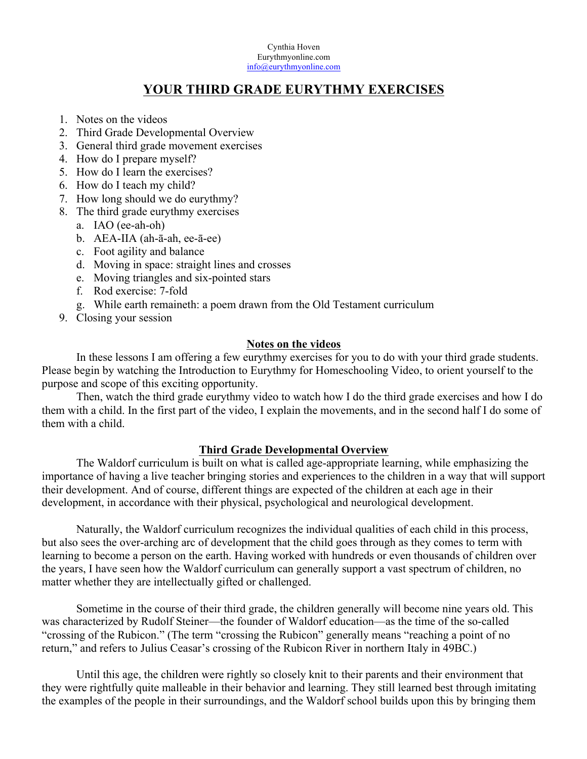Cynthia Hoven Eurythmyonline.com info@eurythmyonline.com

# **YOUR THIRD GRADE EURYTHMY EXERCISES**

- 1. Notes on the videos
- 2. Third Grade Developmental Overview
- 3. General third grade movement exercises
- 4. How do I prepare myself?
- 5. How do I learn the exercises?
- 6. How do I teach my child?
- 7. How long should we do eurythmy?
- 8. The third grade eurythmy exercises
	- a. IAO (ee-ah-oh)
	- b. AEA-IIA (ah-ā-ah, ee-ā-ee)
	- c. Foot agility and balance
	- d. Moving in space: straight lines and crosses
	- e. Moving triangles and six-pointed stars
	- f. Rod exercise: 7-fold
	- g. While earth remaineth: a poem drawn from the Old Testament curriculum
- 9. Closing your session

## **Notes on the videos**

In these lessons I am offering a few eurythmy exercises for you to do with your third grade students. Please begin by watching the Introduction to Eurythmy for Homeschooling Video, to orient yourself to the purpose and scope of this exciting opportunity.

Then, watch the third grade eurythmy video to watch how I do the third grade exercises and how I do them with a child. In the first part of the video, I explain the movements, and in the second half I do some of them with a child.

## **Third Grade Developmental Overview**

The Waldorf curriculum is built on what is called age-appropriate learning, while emphasizing the importance of having a live teacher bringing stories and experiences to the children in a way that will support their development. And of course, different things are expected of the children at each age in their development, in accordance with their physical, psychological and neurological development.

Naturally, the Waldorf curriculum recognizes the individual qualities of each child in this process, but also sees the over-arching arc of development that the child goes through as they comes to term with learning to become a person on the earth. Having worked with hundreds or even thousands of children over the years, I have seen how the Waldorf curriculum can generally support a vast spectrum of children, no matter whether they are intellectually gifted or challenged.

Sometime in the course of their third grade, the children generally will become nine years old. This was characterized by Rudolf Steiner—the founder of Waldorf education—as the time of the so-called "crossing of the Rubicon." (The term "crossing the Rubicon" generally means "reaching a point of no return," and refers to Julius Ceasar's crossing of the Rubicon River in northern Italy in 49BC.)

Until this age, the children were rightly so closely knit to their parents and their environment that they were rightfully quite malleable in their behavior and learning. They still learned best through imitating the examples of the people in their surroundings, and the Waldorf school builds upon this by bringing them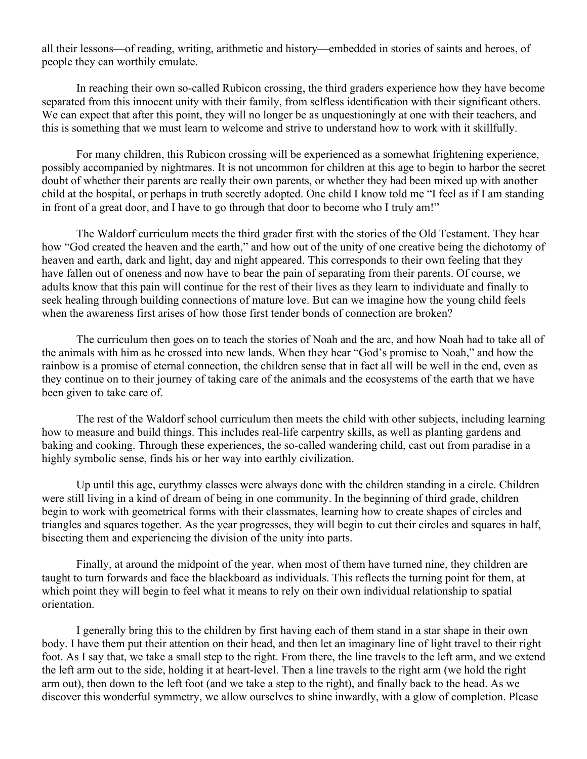all their lessons—of reading, writing, arithmetic and history—embedded in stories of saints and heroes, of people they can worthily emulate.

In reaching their own so-called Rubicon crossing, the third graders experience how they have become separated from this innocent unity with their family, from selfless identification with their significant others. We can expect that after this point, they will no longer be as unquestioningly at one with their teachers, and this is something that we must learn to welcome and strive to understand how to work with it skillfully.

For many children, this Rubicon crossing will be experienced as a somewhat frightening experience, possibly accompanied by nightmares. It is not uncommon for children at this age to begin to harbor the secret doubt of whether their parents are really their own parents, or whether they had been mixed up with another child at the hospital, or perhaps in truth secretly adopted. One child I know told me "I feel as if I am standing in front of a great door, and I have to go through that door to become who I truly am!"

The Waldorf curriculum meets the third grader first with the stories of the Old Testament. They hear how "God created the heaven and the earth," and how out of the unity of one creative being the dichotomy of heaven and earth, dark and light, day and night appeared. This corresponds to their own feeling that they have fallen out of oneness and now have to bear the pain of separating from their parents. Of course, we adults know that this pain will continue for the rest of their lives as they learn to individuate and finally to seek healing through building connections of mature love. But can we imagine how the young child feels when the awareness first arises of how those first tender bonds of connection are broken?

The curriculum then goes on to teach the stories of Noah and the arc, and how Noah had to take all of the animals with him as he crossed into new lands. When they hear "God's promise to Noah," and how the rainbow is a promise of eternal connection, the children sense that in fact all will be well in the end, even as they continue on to their journey of taking care of the animals and the ecosystems of the earth that we have been given to take care of.

The rest of the Waldorf school curriculum then meets the child with other subjects, including learning how to measure and build things. This includes real-life carpentry skills, as well as planting gardens and baking and cooking. Through these experiences, the so-called wandering child, cast out from paradise in a highly symbolic sense, finds his or her way into earthly civilization.

Up until this age, eurythmy classes were always done with the children standing in a circle. Children were still living in a kind of dream of being in one community. In the beginning of third grade, children begin to work with geometrical forms with their classmates, learning how to create shapes of circles and triangles and squares together. As the year progresses, they will begin to cut their circles and squares in half, bisecting them and experiencing the division of the unity into parts.

Finally, at around the midpoint of the year, when most of them have turned nine, they children are taught to turn forwards and face the blackboard as individuals. This reflects the turning point for them, at which point they will begin to feel what it means to rely on their own individual relationship to spatial orientation.

I generally bring this to the children by first having each of them stand in a star shape in their own body. I have them put their attention on their head, and then let an imaginary line of light travel to their right foot. As I say that, we take a small step to the right. From there, the line travels to the left arm, and we extend the left arm out to the side, holding it at heart-level. Then a line travels to the right arm (we hold the right arm out), then down to the left foot (and we take a step to the right), and finally back to the head. As we discover this wonderful symmetry, we allow ourselves to shine inwardly, with a glow of completion. Please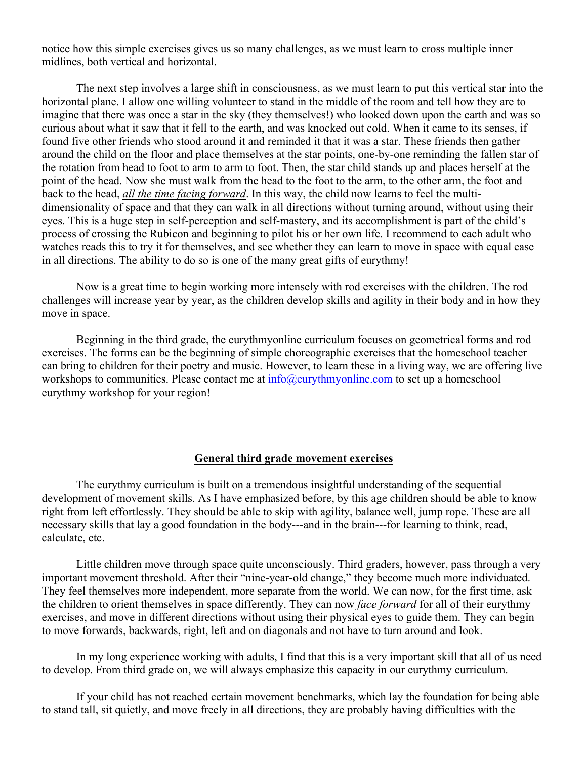notice how this simple exercises gives us so many challenges, as we must learn to cross multiple inner midlines, both vertical and horizontal.

The next step involves a large shift in consciousness, as we must learn to put this vertical star into the horizontal plane. I allow one willing volunteer to stand in the middle of the room and tell how they are to imagine that there was once a star in the sky (they themselves!) who looked down upon the earth and was so curious about what it saw that it fell to the earth, and was knocked out cold. When it came to its senses, if found five other friends who stood around it and reminded it that it was a star. These friends then gather around the child on the floor and place themselves at the star points, one-by-one reminding the fallen star of the rotation from head to foot to arm to arm to foot. Then, the star child stands up and places herself at the point of the head. Now she must walk from the head to the foot to the arm, to the other arm, the foot and back to the head, *all the time facing forward*. In this way, the child now learns to feel the multidimensionality of space and that they can walk in all directions without turning around, without using their eyes. This is a huge step in self-perception and self-mastery, and its accomplishment is part of the child's process of crossing the Rubicon and beginning to pilot his or her own life. I recommend to each adult who watches reads this to try it for themselves, and see whether they can learn to move in space with equal ease in all directions. The ability to do so is one of the many great gifts of eurythmy!

Now is a great time to begin working more intensely with rod exercises with the children. The rod challenges will increase year by year, as the children develop skills and agility in their body and in how they move in space.

Beginning in the third grade, the eurythmyonline curriculum focuses on geometrical forms and rod exercises. The forms can be the beginning of simple choreographic exercises that the homeschool teacher can bring to children for their poetry and music. However, to learn these in a living way, we are offering live workshops to communities. Please contact me at  $info(\omega_{\text{curythmyonline.com}})$  to set up a homeschool eurythmy workshop for your region!

#### **General third grade movement exercises**

The eurythmy curriculum is built on a tremendous insightful understanding of the sequential development of movement skills. As I have emphasized before, by this age children should be able to know right from left effortlessly. They should be able to skip with agility, balance well, jump rope. These are all necessary skills that lay a good foundation in the body---and in the brain---for learning to think, read, calculate, etc.

Little children move through space quite unconsciously. Third graders, however, pass through a very important movement threshold. After their "nine-year-old change," they become much more individuated. They feel themselves more independent, more separate from the world. We can now, for the first time, ask the children to orient themselves in space differently. They can now *face forward* for all of their eurythmy exercises, and move in different directions without using their physical eyes to guide them. They can begin to move forwards, backwards, right, left and on diagonals and not have to turn around and look.

In my long experience working with adults, I find that this is a very important skill that all of us need to develop. From third grade on, we will always emphasize this capacity in our eurythmy curriculum.

If your child has not reached certain movement benchmarks, which lay the foundation for being able to stand tall, sit quietly, and move freely in all directions, they are probably having difficulties with the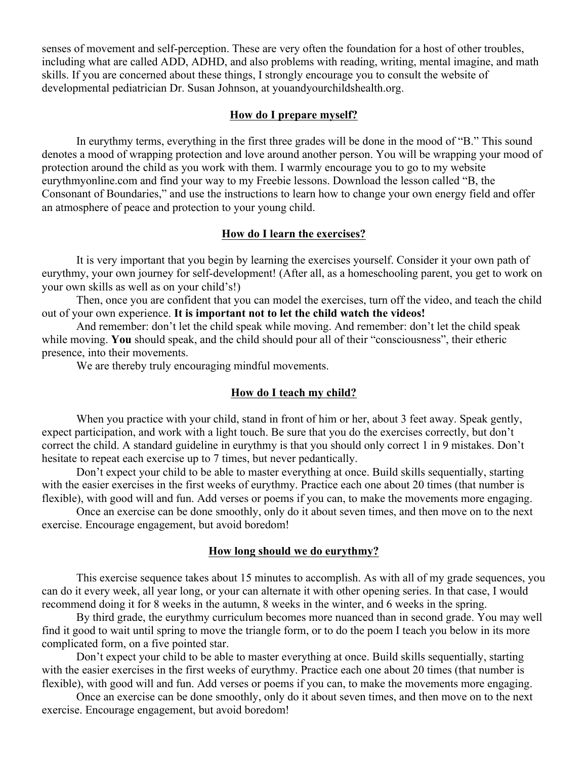senses of movement and self-perception. These are very often the foundation for a host of other troubles, including what are called ADD, ADHD, and also problems with reading, writing, mental imagine, and math skills. If you are concerned about these things, I strongly encourage you to consult the website of developmental pediatrician Dr. Susan Johnson, at youandyourchildshealth.org.

#### **How do I prepare myself?**

In eurythmy terms, everything in the first three grades will be done in the mood of "B." This sound denotes a mood of wrapping protection and love around another person. You will be wrapping your mood of protection around the child as you work with them. I warmly encourage you to go to my website eurythmyonline.com and find your way to my Freebie lessons. Download the lesson called "B, the Consonant of Boundaries," and use the instructions to learn how to change your own energy field and offer an atmosphere of peace and protection to your young child.

## **How do I learn the exercises?**

It is very important that you begin by learning the exercises yourself. Consider it your own path of eurythmy, your own journey for self-development! (After all, as a homeschooling parent, you get to work on your own skills as well as on your child's!)

Then, once you are confident that you can model the exercises, turn off the video, and teach the child out of your own experience. **It is important not to let the child watch the videos!**

And remember: don't let the child speak while moving. And remember: don't let the child speak while moving. **You** should speak, and the child should pour all of their "consciousness", their etheric presence, into their movements.

We are thereby truly encouraging mindful movements.

## **How do I teach my child?**

When you practice with your child, stand in front of him or her, about 3 feet away. Speak gently, expect participation, and work with a light touch. Be sure that you do the exercises correctly, but don't correct the child. A standard guideline in eurythmy is that you should only correct 1 in 9 mistakes. Don't hesitate to repeat each exercise up to 7 times, but never pedantically.

Don't expect your child to be able to master everything at once. Build skills sequentially, starting with the easier exercises in the first weeks of eurythmy. Practice each one about 20 times (that number is flexible), with good will and fun. Add verses or poems if you can, to make the movements more engaging.

Once an exercise can be done smoothly, only do it about seven times, and then move on to the next exercise. Encourage engagement, but avoid boredom!

#### **How long should we do eurythmy?**

This exercise sequence takes about 15 minutes to accomplish. As with all of my grade sequences, you can do it every week, all year long, or your can alternate it with other opening series. In that case, I would recommend doing it for 8 weeks in the autumn, 8 weeks in the winter, and 6 weeks in the spring.

By third grade, the eurythmy curriculum becomes more nuanced than in second grade. You may well find it good to wait until spring to move the triangle form, or to do the poem I teach you below in its more complicated form, on a five pointed star.

Don't expect your child to be able to master everything at once. Build skills sequentially, starting with the easier exercises in the first weeks of eurythmy. Practice each one about 20 times (that number is flexible), with good will and fun. Add verses or poems if you can, to make the movements more engaging.

Once an exercise can be done smoothly, only do it about seven times, and then move on to the next exercise. Encourage engagement, but avoid boredom!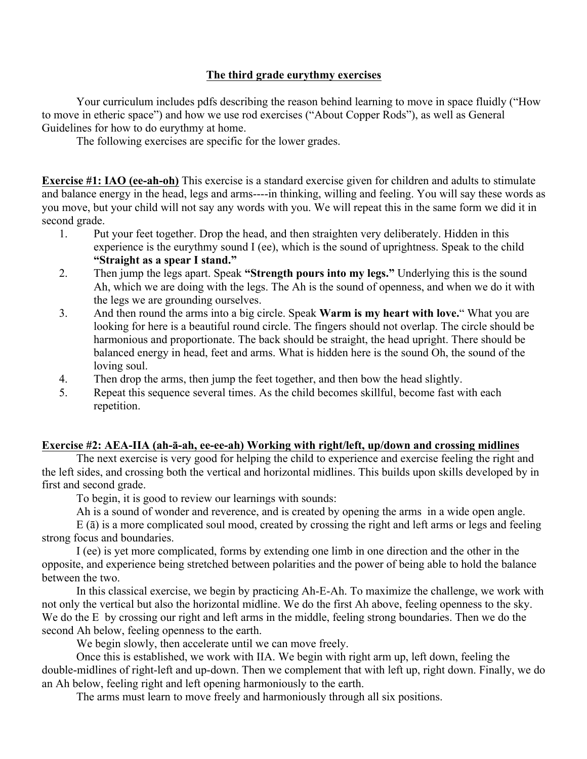## **The third grade eurythmy exercises**

Your curriculum includes pdfs describing the reason behind learning to move in space fluidly ("How to move in etheric space") and how we use rod exercises ("About Copper Rods"), as well as General Guidelines for how to do eurythmy at home.

The following exercises are specific for the lower grades.

**Exercise #1: IAO (ee-ah-oh)** This exercise is a standard exercise given for children and adults to stimulate and balance energy in the head, legs and arms----in thinking, willing and feeling. You will say these words as you move, but your child will not say any words with you. We will repeat this in the same form we did it in second grade.

- 1. Put your feet together. Drop the head, and then straighten very deliberately. Hidden in this experience is the eurythmy sound I (ee), which is the sound of uprightness. Speak to the child **"Straight as a spear I stand."**
- 2. Then jump the legs apart. Speak **"Strength pours into my legs."** Underlying this is the sound Ah, which we are doing with the legs. The Ah is the sound of openness, and when we do it with the legs we are grounding ourselves.
- 3. And then round the arms into a big circle. Speak **Warm is my heart with love.**" What you are looking for here is a beautiful round circle. The fingers should not overlap. The circle should be harmonious and proportionate. The back should be straight, the head upright. There should be balanced energy in head, feet and arms. What is hidden here is the sound Oh, the sound of the loving soul.
- 4. Then drop the arms, then jump the feet together, and then bow the head slightly.
- 5. Repeat this sequence several times. As the child becomes skillful, become fast with each repetition.

## **Exercise #2: AEA-IIA (ah-ā-ah, ee-ee-ah) Working with right/left, up/down and crossing midlines**

The next exercise is very good for helping the child to experience and exercise feeling the right and the left sides, and crossing both the vertical and horizontal midlines. This builds upon skills developed by in first and second grade.

To begin, it is good to review our learnings with sounds:

Ah is a sound of wonder and reverence, and is created by opening the arms in a wide open angle.

E (ā) is a more complicated soul mood, created by crossing the right and left arms or legs and feeling strong focus and boundaries.

I (ee) is yet more complicated, forms by extending one limb in one direction and the other in the opposite, and experience being stretched between polarities and the power of being able to hold the balance between the two.

In this classical exercise, we begin by practicing Ah-E-Ah. To maximize the challenge, we work with not only the vertical but also the horizontal midline. We do the first Ah above, feeling openness to the sky. We do the E by crossing our right and left arms in the middle, feeling strong boundaries. Then we do the second Ah below, feeling openness to the earth.

We begin slowly, then accelerate until we can move freely.

Once this is established, we work with IIA. We begin with right arm up, left down, feeling the double-midlines of right-left and up-down. Then we complement that with left up, right down. Finally, we do an Ah below, feeling right and left opening harmoniously to the earth.

The arms must learn to move freely and harmoniously through all six positions.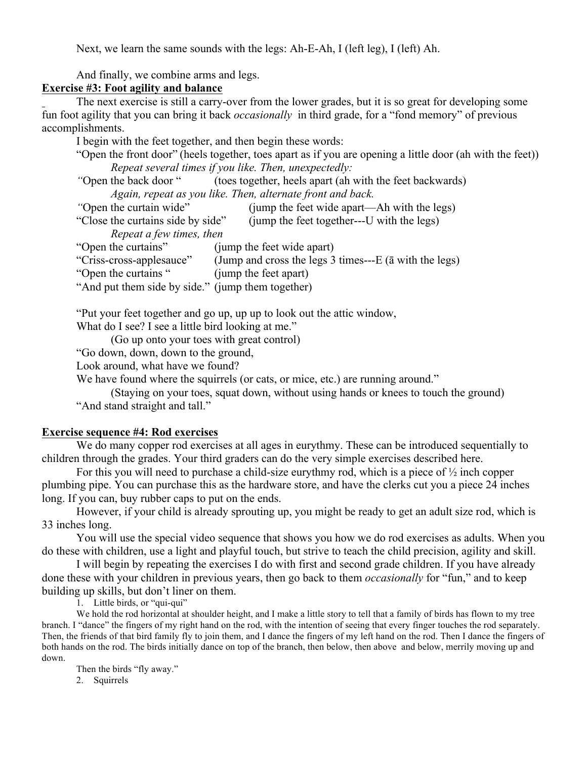Next, we learn the same sounds with the legs: Ah-E-Ah, I (left leg), I (left) Ah.

And finally, we combine arms and legs.

## **Exercise #3: Foot agility and balance**

The next exercise is still a carry-over from the lower grades, but it is so great for developing some fun foot agility that you can bring it back *occasionally* in third grade, for a "fond memory" of previous accomplishments.

I begin with the feet together, and then begin these words:

"Open the front door" (heels together, toes apart as if you are opening a little door (ah with the feet)) *Repeat several times if you like. Then, unexpectedly:*

*"*Open the back door " (toes together, heels apart (ah with the feet backwards) *Again, repeat as you like. Then, alternate front and back.*

- *"*Open the curtain wide" (jump the feet wide apart—Ah with the legs)
- "Close the curtains side by side" (jump the feet together---U with the legs)

*Repeat a few times, then*

"Open the curtains" (jump the feet wide apart)

- "Criss-cross-applesauce" (Jump and cross the legs 3 times---E (ā with the legs)
- "Open the curtains " (jump the feet apart)
- "And put them side by side." (jump them together)

"Put your feet together and go up, up up to look out the attic window,

What do I see? I see a little bird looking at me."

(Go up onto your toes with great control)

"Go down, down, down to the ground,

Look around, what have we found?

We have found where the squirrels (or cats, or mice, etc.) are running around."

(Staying on your toes, squat down, without using hands or knees to touch the ground) "And stand straight and tall."

#### **Exercise sequence #4: Rod exercises**

We do many copper rod exercises at all ages in eurythmy. These can be introduced sequentially to children through the grades. Your third graders can do the very simple exercises described here.

For this you will need to purchase a child-size eurythmy rod, which is a piece of  $\frac{1}{2}$  inch copper plumbing pipe. You can purchase this as the hardware store, and have the clerks cut you a piece 24 inches long. If you can, buy rubber caps to put on the ends.

However, if your child is already sprouting up, you might be ready to get an adult size rod, which is 33 inches long.

You will use the special video sequence that shows you how we do rod exercises as adults. When you do these with children, use a light and playful touch, but strive to teach the child precision, agility and skill.

I will begin by repeating the exercises I do with first and second grade children. If you have already done these with your children in previous years, then go back to them *occasionally* for "fun," and to keep building up skills, but don't liner on them.

1. Little birds, or "qui-qui"

We hold the rod horizontal at shoulder height, and I make a little story to tell that a family of birds has flown to my tree branch. I "dance" the fingers of my right hand on the rod, with the intention of seeing that every finger touches the rod separately. Then, the friends of that bird family fly to join them, and I dance the fingers of my left hand on the rod. Then I dance the fingers of both hands on the rod. The birds initially dance on top of the branch, then below, then above and below, merrily moving up and down.

Then the birds "fly away." 2. Squirrels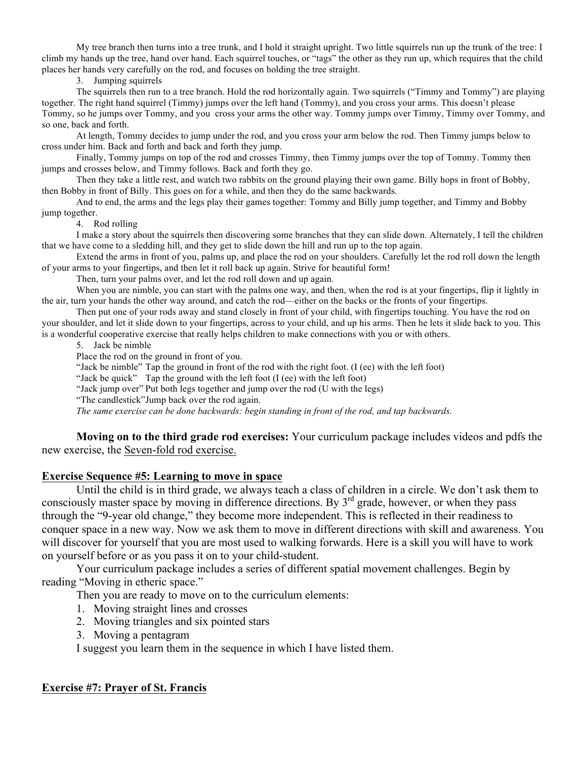My tree branch then turns into a tree trunk, and I hold it straight upright. Two little squirrels run up the trunk of the tree: I climb my hands up the tree, hand over hand. Each squirrel touches, or "tags" the other as they run up, which requires that the child places her hands very carefully on the rod, and focuses on holding the tree straight.

3. Jumping squirrels

The squirrels then run to a tree branch. Hold the rod horizontally again. Two squirrels ("Timmy and Tommy") are playing together. The right hand squirrel (Timmy) jumps over the left hand (Tommy), and you cross your arms. This doesn't please Tommy, so he jumps over Tommy, and you cross your arms the other way. Tommy jumps over Timmy, Timmy over Tommy, and so one, back and forth.

At length, Tommy decides to jump under the rod, and you cross your arm below the rod. Then Timmy jumps below to cross under him. Back and forth and back and forth they jump.

Finally, Tommy jumps on top of the rod and crosses Timmy, then Timmy jumps over the top of Tommy. Tommy then jumps and crosses below, and Timmy follows. Back and forth they go.

Then they take a little rest, and watch two rabbits on the ground playing their own game. Billy hops in front of Bobby, then Bobby in front of Billy. This goes on for a while, and then they do the same backwards.

And to end, the arms and the legs play their games together: Tommy and Billy jump together, and Timmy and Bobby jump together.

4. Rod rolling

I make a story about the squirrels then discovering some branches that they can slide down. Alternately, I tell the children that we have come to a sledding hill, and they get to slide down the hill and run up to the top again.

Extend the arms in front of you, palms up, and place the rod on your shoulders. Carefully let the rod roll down the length of your arms to your fingertips, and then let it roll back up again. Strive for beautiful form!

Then, turn your palms over, and let the rod roll down and up again.

When you are nimble, you can start with the palms one way, and then, when the rod is at your fingertips, flip it lightly in the air, turn your hands the other way around, and catch the rod—either on the backs or the fronts of your fingertips.

Then put one of your rods away and stand closely in front of your child, with fingertips touching. You have the rod on your shoulder, and let it slide down to your fingertips, across to your child, and up his arms. Then he lets it slide back to you. This is a wonderful cooperative exercise that really helps children to make connections with you or with others.

5. Jack be nimble

Place the rod on the ground in front of you.

"Jack be nimble" Tap the ground in front of the rod with the right foot. (I (ee) with the left foot)

"Jack be quick" Tap the ground with the left foot (I (ee) with the left foot)

"Jack jump over" Put both legs together and jump over the rod (U with the legs)

"The candlestick"Jump back over the rod again.

*The same exercise can be done backwards: begin standing in front of the rod, and tap backwards.*

**Moving on to the third grade rod exercises:** Your curriculum package includes videos and pdfs the new exercise, the Seven-fold rod exercise.

#### **Exercise Sequence #5: Learning to move in space**

Until the child is in third grade, we always teach a class of children in a circle. We don't ask them to consciously master space by moving in difference directions. By  $3<sup>rd</sup>$  grade, however, or when they pass through the "9-year old change," they become more independent. This is reflected in their readiness to conquer space in a new way. Now we ask them to move in different directions with skill and awareness. You will discover for yourself that you are most used to walking forwards. Here is a skill you will have to work on yourself before or as you pass it on to your child-student.

Your curriculum package includes a series of different spatial movement challenges. Begin by reading "Moving in etheric space."

Then you are ready to move on to the curriculum elements:

- 1. Moving straight lines and crosses
- 2. Moving triangles and six pointed stars
- 3. Moving a pentagram

I suggest you learn them in the sequence in which I have listed them.

# **Exercise #7: Prayer of St. Francis**